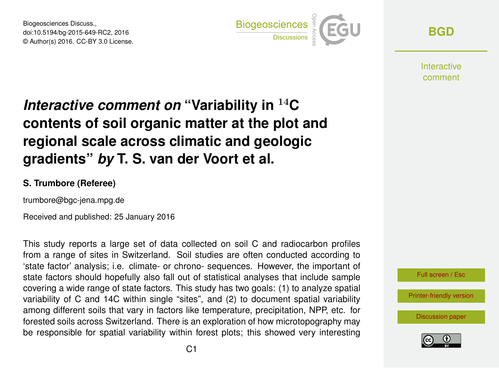Biogeosciences Discuss., doi:10.5194/bg-2015-649-RC2, 2016 © Author(s) 2016. CC-BY 3.0 License.



**[BGD](http://www.biogeosciences-discuss.net/)**

**Interactive** comment

## *Interactive comment on* **"Variability in** <sup>14</sup>**C contents of soil organic matter at the plot and regional scale across climatic and geologic gradients"** *by* **T. S. van der Voort et al.**

## **S. Trumbore (Referee)**

trumbore@bgc-jena.mpg.de

Received and published: 25 January 2016

This study reports a large set of data collected on soil C and radiocarbon profiles from a range of sites in Switzerland. Soil studies are often conducted according to 'state factor' analysis; i.e. climate- or chrono- sequences. However, the important of state factors should hopefully also fall out of statistical analyses that include sample covering a wide range of state factors. This study has two goals: (1) to analyze spatial variability of C and 14C within single "sites", and (2) to document spatial variability among different soils that vary in factors like temperature, precipitation, NPP, etc. for forested soils across Switzerland. There is an exploration of how microtopography may be responsible for spatial variability within forest plots; this showed very interesting



Full screen / Esc

[Printer-friendly version](http://www.biogeosciences-discuss.net/bg-2015-649-RC2-print.pdf)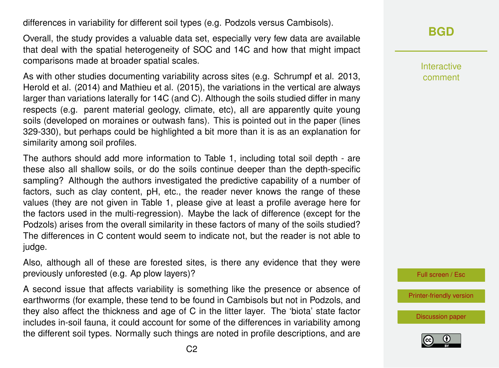differences in variability for different soil types (e.g. Podzols versus Cambisols).

Overall, the study provides a valuable data set, especially very few data are available that deal with the spatial heterogeneity of SOC and 14C and how that might impact comparisons made at broader spatial scales.

As with other studies documenting variability across sites (e.g. Schrumpf et al. 2013, Herold et al. (2014) and Mathieu et al. (2015), the variations in the vertical are always larger than variations laterally for 14C (and C). Although the soils studied differ in many respects (e.g. parent material geology, climate, etc), all are apparently quite young soils (developed on moraines or outwash fans). This is pointed out in the paper (lines 329-330), but perhaps could be highlighted a bit more than it is as an explanation for similarity among soil profiles.

The authors should add more information to Table 1, including total soil depth - are these also all shallow soils, or do the soils continue deeper than the depth-specific sampling? Although the authors investigated the predictive capability of a number of factors, such as clay content, pH, etc., the reader never knows the range of these values (they are not given in Table 1, please give at least a profile average here for the factors used in the multi-regression). Maybe the lack of difference (except for the Podzols) arises from the overall similarity in these factors of many of the soils studied? The differences in C content would seem to indicate not, but the reader is not able to judge.

Also, although all of these are forested sites, is there any evidence that they were previously unforested (e.g. Ap plow layers)?

A second issue that affects variability is something like the presence or absence of earthworms (for example, these tend to be found in Cambisols but not in Podzols, and they also affect the thickness and age of C in the litter layer. The 'biota' state factor includes in-soil fauna, it could account for some of the differences in variability among the different soil types. Normally such things are noted in profile descriptions, and are

## **[BGD](http://www.biogeosciences-discuss.net/)**

Interactive comment

Full screen / Esc

[Printer-friendly version](http://www.biogeosciences-discuss.net/bg-2015-649-RC2-print.pdf)

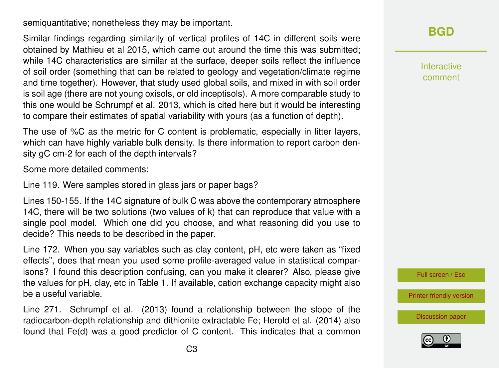semiquantitative; nonetheless they may be important.

Similar findings regarding similarity of vertical profiles of 14C in different soils were obtained by Mathieu et al 2015, which came out around the time this was submitted; while 14C characteristics are similar at the surface, deeper soils reflect the influence of soil order (something that can be related to geology and vegetation/climate regime and time together). However, that study used global soils, and mixed in with soil order is soil age (there are not young oxisols, or old inceptisols). A more comparable study to this one would be Schrumpf et al. 2013, which is cited here but it would be interesting to compare their estimates of spatial variability with yours (as a function of depth).

The use of %C as the metric for C content is problematic, especially in litter layers, which can have highly variable bulk density. Is there information to report carbon density gC cm-2 for each of the depth intervals?

Some more detailed comments:

Line 119. Were samples stored in glass jars or paper bags?

Lines 150-155. If the 14C signature of bulk C was above the contemporary atmosphere 14C, there will be two solutions (two values of k) that can reproduce that value with a single pool model. Which one did you choose, and what reasoning did you use to decide? This needs to be described in the paper.

Line 172. When you say variables such as clay content, pH, etc were taken as "fixed effects", does that mean you used some profile-averaged value in statistical comparisons? I found this description confusing, can you make it clearer? Also, please give the values for pH, clay, etc in Table 1. If available, cation exchange capacity might also be a useful variable.

Line 271. Schrumpf et al. (2013) found a relationship between the slope of the radiocarbon-depth relationship and dithionite extractable Fe; Herold et al. (2014) also found that Fe(d) was a good predictor of C content. This indicates that a common **[BGD](http://www.biogeosciences-discuss.net/)**

Interactive comment

Full screen / Esc

[Printer-friendly version](http://www.biogeosciences-discuss.net/bg-2015-649-RC2-print.pdf)

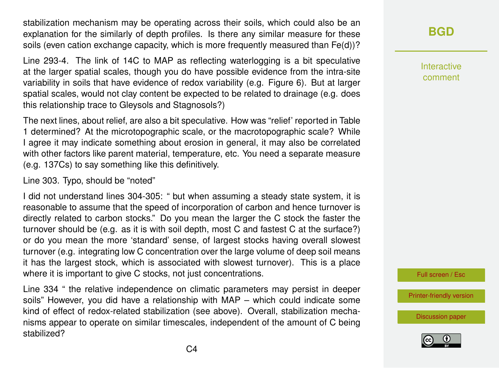stabilization mechanism may be operating across their soils, which could also be an explanation for the similarly of depth profiles. Is there any similar measure for these soils (even cation exchange capacity, which is more frequently measured than Fe(d))?

Line 293-4. The link of 14C to MAP as reflecting waterlogging is a bit speculative at the larger spatial scales, though you do have possible evidence from the intra-site variability in soils that have evidence of redox variability (e.g. Figure 6). But at larger spatial scales, would not clay content be expected to be related to drainage (e.g. does this relationship trace to Gleysols and Stagnosols?)

The next lines, about relief, are also a bit speculative. How was "relief' reported in Table 1 determined? At the microtopographic scale, or the macrotopographic scale? While I agree it may indicate something about erosion in general, it may also be correlated with other factors like parent material, temperature, etc. You need a separate measure (e.g. 137Cs) to say something like this definitively.

Line 303. Typo, should be "noted"

I did not understand lines 304-305: " but when assuming a steady state system, it is reasonable to assume that the speed of incorporation of carbon and hence turnover is directly related to carbon stocks." Do you mean the larger the C stock the faster the turnover should be (e.g. as it is with soil depth, most C and fastest C at the surface?) or do you mean the more 'standard' sense, of largest stocks having overall slowest turnover (e.g. integrating low C concentration over the large volume of deep soil means it has the largest stock, which is associated with slowest turnover). This is a place where it is important to give C stocks, not just concentrations.

Line 334 " the relative independence on climatic parameters may persist in deeper soils" However, you did have a relationship with MAP – which could indicate some kind of effect of redox-related stabilization (see above). Overall, stabilization mechanisms appear to operate on similar timescales, independent of the amount of C being stabilized?

**[BGD](http://www.biogeosciences-discuss.net/)**

Interactive comment

Full screen / Esc

[Printer-friendly version](http://www.biogeosciences-discuss.net/bg-2015-649-RC2-print.pdf)

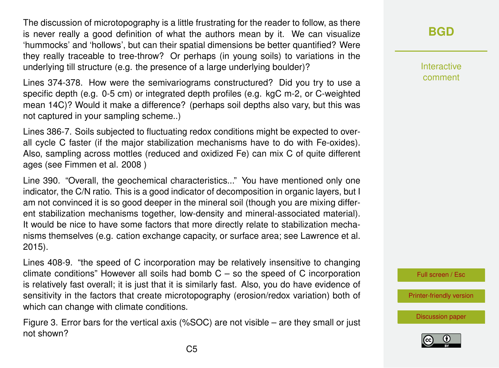The discussion of microtopography is a little frustrating for the reader to follow, as there is never really a good definition of what the authors mean by it. We can visualize 'hummocks' and 'hollows', but can their spatial dimensions be better quantified? Were they really traceable to tree-throw? Or perhaps (in young soils) to variations in the underlying till structure (e.g. the presence of a large underlying boulder)?

Lines 374-378. How were the semivariograms constructured? Did you try to use a specific depth (e.g. 0-5 cm) or integrated depth profiles (e.g. kgC m-2, or C-weighted mean 14C)? Would it make a difference? (perhaps soil depths also vary, but this was not captured in your sampling scheme..)

Lines 386-7. Soils subjected to fluctuating redox conditions might be expected to overall cycle C faster (if the major stabilization mechanisms have to do with Fe-oxides). Also, sampling across mottles (reduced and oxidized Fe) can mix C of quite different ages (see Fimmen et al. 2008 )

Line 390. "Overall, the geochemical characteristics..." You have mentioned only one indicator, the C/N ratio. This is a good indicator of decomposition in organic layers, but I am not convinced it is so good deeper in the mineral soil (though you are mixing different stabilization mechanisms together, low-density and mineral-associated material). It would be nice to have some factors that more directly relate to stabilization mechanisms themselves (e.g. cation exchange capacity, or surface area; see Lawrence et al. 2015).

Lines 408-9. "the speed of C incorporation may be relatively insensitive to changing climate conditions" However all soils had bomb  $C -$  so the speed of C incorporation is relatively fast overall; it is just that it is similarly fast. Also, you do have evidence of sensitivity in the factors that create microtopography (erosion/redox variation) both of which can change with climate conditions.

Figure 3. Error bars for the vertical axis (%SOC) are not visible – are they small or just not shown?

Interactive comment

Full screen / Esc

[Printer-friendly version](http://www.biogeosciences-discuss.net/bg-2015-649-RC2-print.pdf)